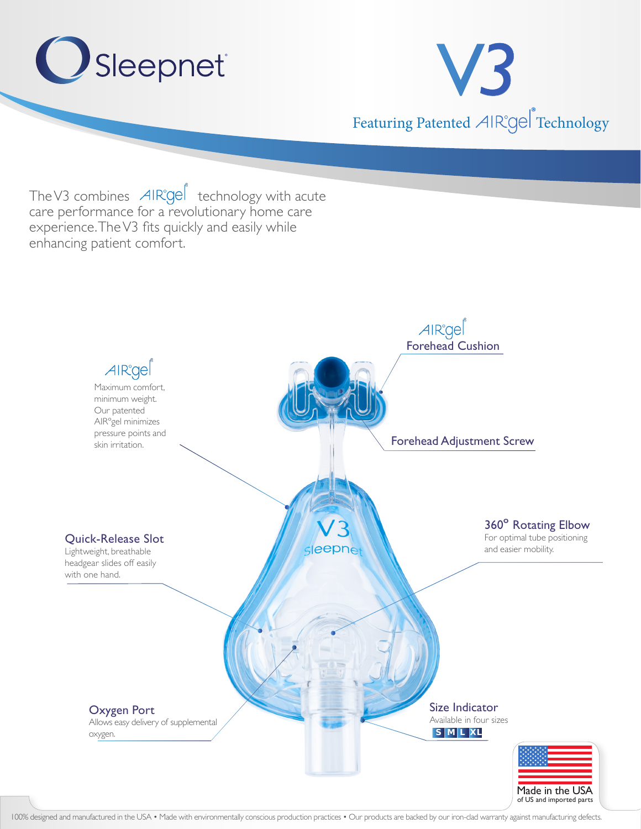

Allows easy delivery of supplemental oxygen.

Available in four sizes **S M L XL**



100% designed and manufactured in the USA • Made with environmentally conscious production practices • Our products are backed by our iron-clad warranty against manufacturing defects.